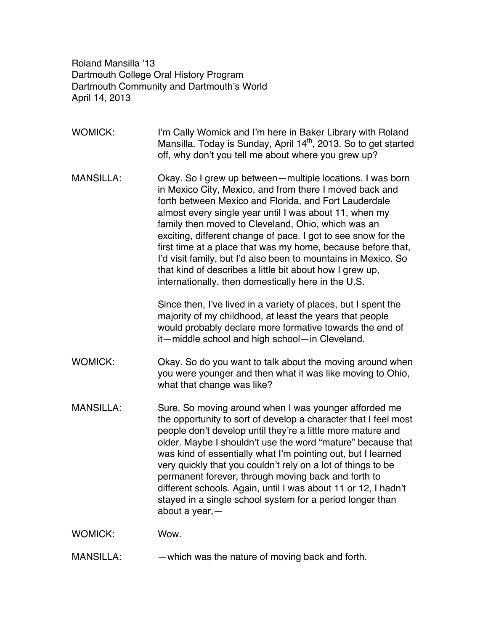Roland Mansilla '13 Dartmouth College Oral History Program Dartmouth Community and Dartmouth's World April 14, 2013

WOMICK: I'm Cally Womick and I'm here in Baker Library with Roland Mansilla. Today is Sunday, April  $14<sup>th</sup>$ , 2013. So to get started off, why don't you tell me about where you grew up? MANSILLA: Okay. So I grew up between—multiple locations. I was born in Mexico City, Mexico, and from there I moved back and forth between Mexico and Florida, and Fort Lauderdale almost every single year until I was about 11, when my family then moved to Cleveland, Ohio, which was an exciting, different change of pace. I got to see snow for the first time at a place that was my home, because before that, I'd visit family, but I'd also been to mountains in Mexico. So that kind of describes a little bit about how I grew up, internationally, then domestically here in the U.S. Since then, I've lived in a variety of places, but I spent the majority of my childhood, at least the years that people would probably declare more formative towards the end of it—middle school and high school—in Cleveland. WOMICK: Okay. So do you want to talk about the moving around when you were younger and then what it was like moving to Ohio, what that change was like? MANSILLA: Sure. So moving around when I was younger afforded me the opportunity to sort of develop a character that I feel most people don't develop until they're a little more mature and older. Maybe I shouldn't use the word "mature" because that was kind of essentially what I'm pointing out, but I learned very quickly that you couldn't rely on a lot of things to be permanent forever, through moving back and forth to different schools. Again, until I was about 11 or 12, I hadn't stayed in a single school system for a period longer than about a year,— WOMICK: Wow.

MANSILLA: —which was the nature of moving back and forth.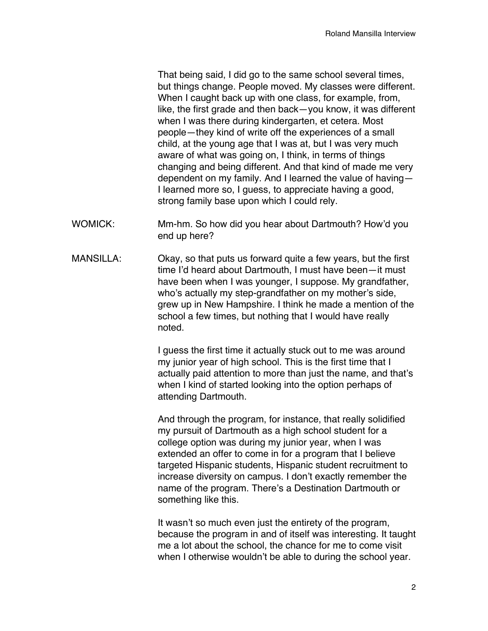That being said, I did go to the same school several times, but things change. People moved. My classes were different. When I caught back up with one class, for example, from, like, the first grade and then back—you know, it was different when I was there during kindergarten, et cetera. Most people—they kind of write off the experiences of a small child, at the young age that I was at, but I was very much aware of what was going on, I think, in terms of things changing and being different. And that kind of made me very dependent on my family. And I learned the value of having— I learned more so, I guess, to appreciate having a good, strong family base upon which I could rely.

- WOMICK: Mm-hm. So how did you hear about Dartmouth? How'd you end up here?
- MANSILLA: Okay, so that puts us forward quite a few years, but the first time I'd heard about Dartmouth, I must have been—it must have been when I was younger, I suppose. My grandfather, who's actually my step-grandfather on my mother's side, grew up in New Hampshire. I think he made a mention of the school a few times, but nothing that I would have really noted.

I guess the first time it actually stuck out to me was around my junior year of high school. This is the first time that I actually paid attention to more than just the name, and that's when I kind of started looking into the option perhaps of attending Dartmouth.

And through the program, for instance, that really solidified my pursuit of Dartmouth as a high school student for a college option was during my junior year, when I was extended an offer to come in for a program that I believe targeted Hispanic students, Hispanic student recruitment to increase diversity on campus. I don't exactly remember the name of the program. There's a Destination Dartmouth or something like this.

It wasn't so much even just the entirety of the program, because the program in and of itself was interesting. It taught me a lot about the school, the chance for me to come visit when I otherwise wouldn't be able to during the school year.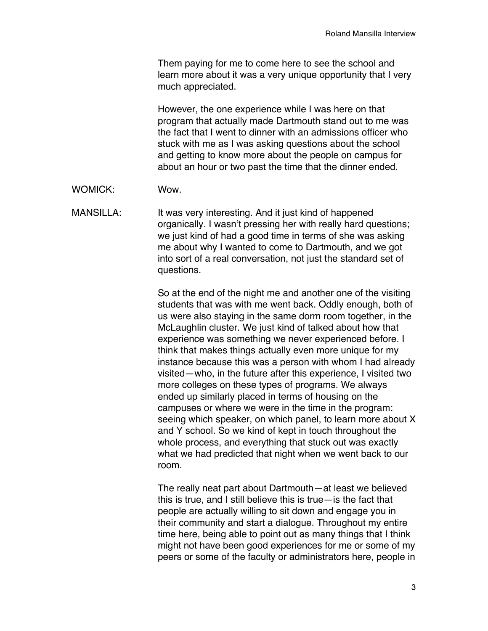Them paying for me to come here to see the school and learn more about it was a very unique opportunity that I very much appreciated.

However, the one experience while I was here on that program that actually made Dartmouth stand out to me was the fact that I went to dinner with an admissions officer who stuck with me as I was asking questions about the school and getting to know more about the people on campus for about an hour or two past the time that the dinner ended.

WOMICK: Wow.

MANSILLA: It was very interesting. And it just kind of happened organically. I wasn't pressing her with really hard questions; we just kind of had a good time in terms of she was asking me about why I wanted to come to Dartmouth, and we got into sort of a real conversation, not just the standard set of questions.

> So at the end of the night me and another one of the visiting students that was with me went back. Oddly enough, both of us were also staying in the same dorm room together, in the McLaughlin cluster. We just kind of talked about how that experience was something we never experienced before. I think that makes things actually even more unique for my instance because this was a person with whom I had already visited—who, in the future after this experience, I visited two more colleges on these types of programs. We always ended up similarly placed in terms of housing on the campuses or where we were in the time in the program: seeing which speaker, on which panel, to learn more about X and Y school. So we kind of kept in touch throughout the whole process, and everything that stuck out was exactly what we had predicted that night when we went back to our room.

> The really neat part about Dartmouth—at least we believed this is true, and I still believe this is true—is the fact that people are actually willing to sit down and engage you in their community and start a dialogue. Throughout my entire time here, being able to point out as many things that I think might not have been good experiences for me or some of my peers or some of the faculty or administrators here, people in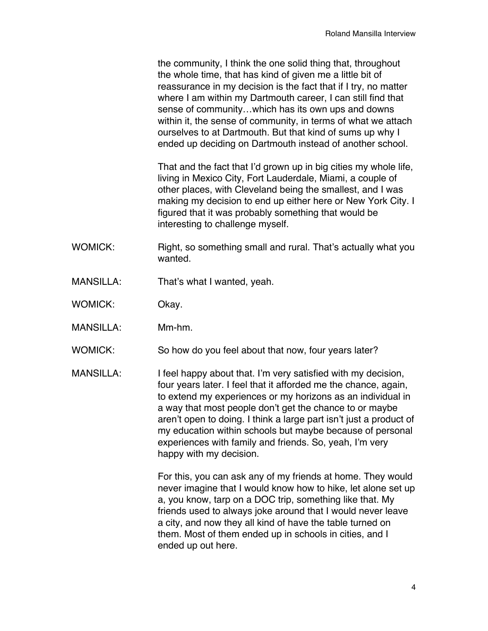the community, I think the one solid thing that, throughout the whole time, that has kind of given me a little bit of reassurance in my decision is the fact that if I try, no matter where I am within my Dartmouth career, I can still find that sense of community…which has its own ups and downs within it, the sense of community, in terms of what we attach ourselves to at Dartmouth. But that kind of sums up why I ended up deciding on Dartmouth instead of another school.

That and the fact that I'd grown up in big cities my whole life, living in Mexico City, Fort Lauderdale, Miami, a couple of other places, with Cleveland being the smallest, and I was making my decision to end up either here or New York City. I figured that it was probably something that would be interesting to challenge myself.

- WOMICK: Right, so something small and rural. That's actually what you wanted.
- MANSILLA: That's what I wanted, yeah.
- WOMICK: Okay.
- MANSILLA: Mm-hm.
- WOMICK: So how do you feel about that now, four years later?
- MANSILLA: I feel happy about that. I'm very satisfied with my decision, four years later. I feel that it afforded me the chance, again, to extend my experiences or my horizons as an individual in a way that most people don't get the chance to or maybe aren't open to doing. I think a large part isn't just a product of my education within schools but maybe because of personal experiences with family and friends. So, yeah, I'm very happy with my decision.

For this, you can ask any of my friends at home. They would never imagine that I would know how to hike, let alone set up a, you know, tarp on a DOC trip, something like that. My friends used to always joke around that I would never leave a city, and now they all kind of have the table turned on them. Most of them ended up in schools in cities, and I ended up out here.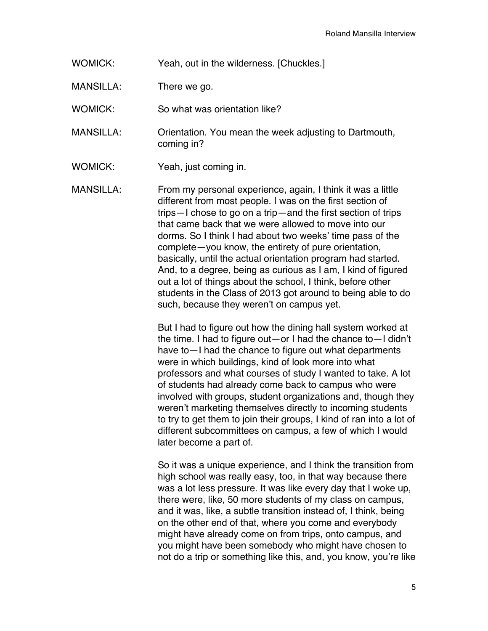WOMICK: Yeah, out in the wilderness. [Chuckles.]

MANSILLA: There we go.

WOMICK: So what was orientation like?

MANSILLA: Orientation. You mean the week adjusting to Dartmouth, coming in?

WOMICK: Yeah, just coming in.

MANSILLA: From my personal experience, again, I think it was a little different from most people. I was on the first section of trips—I chose to go on a trip—and the first section of trips that came back that we were allowed to move into our dorms. So I think I had about two weeks' time pass of the complete—you know, the entirety of pure orientation, basically, until the actual orientation program had started. And, to a degree, being as curious as I am, I kind of figured out a lot of things about the school, I think, before other students in the Class of 2013 got around to being able to do such, because they weren't on campus yet.

> But I had to figure out how the dining hall system worked at the time. I had to figure out—or I had the chance to—I didn't have to—I had the chance to figure out what departments were in which buildings, kind of look more into what professors and what courses of study I wanted to take. A lot of students had already come back to campus who were involved with groups, student organizations and, though they weren't marketing themselves directly to incoming students to try to get them to join their groups, I kind of ran into a lot of different subcommittees on campus, a few of which I would later become a part of.

> So it was a unique experience, and I think the transition from high school was really easy, too, in that way because there was a lot less pressure. It was like every day that I woke up, there were, like, 50 more students of my class on campus, and it was, like, a subtle transition instead of, I think, being on the other end of that, where you come and everybody might have already come on from trips, onto campus, and you might have been somebody who might have chosen to not do a trip or something like this, and, you know, you're like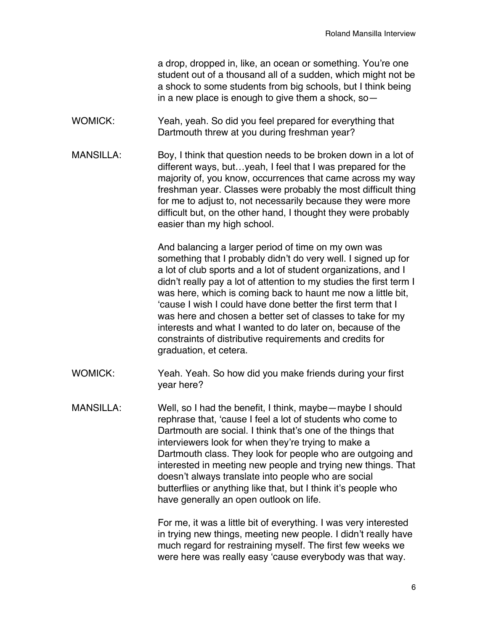a drop, dropped in, like, an ocean or something. You're one student out of a thousand all of a sudden, which might not be a shock to some students from big schools, but I think being in a new place is enough to give them a shock, so—

- WOMICK: Yeah, yeah. So did you feel prepared for everything that Dartmouth threw at you during freshman year?
- MANSILLA: Boy, I think that question needs to be broken down in a lot of different ways, but…yeah, I feel that I was prepared for the majority of, you know, occurrences that came across my way freshman year. Classes were probably the most difficult thing for me to adjust to, not necessarily because they were more difficult but, on the other hand, I thought they were probably easier than my high school.

And balancing a larger period of time on my own was something that I probably didn't do very well. I signed up for a lot of club sports and a lot of student organizations, and I didn't really pay a lot of attention to my studies the first term I was here, which is coming back to haunt me now a little bit, 'cause I wish I could have done better the first term that I was here and chosen a better set of classes to take for my interests and what I wanted to do later on, because of the constraints of distributive requirements and credits for graduation, et cetera.

- WOMICK: Yeah. Yeah. So how did you make friends during your first year here?
- MANSILLA: Well, so I had the benefit, I think, maybe—maybe I should rephrase that, 'cause I feel a lot of students who come to Dartmouth are social. I think that's one of the things that interviewers look for when they're trying to make a Dartmouth class. They look for people who are outgoing and interested in meeting new people and trying new things. That doesn't always translate into people who are social butterflies or anything like that, but I think it's people who have generally an open outlook on life.

For me, it was a little bit of everything. I was very interested in trying new things, meeting new people. I didn't really have much regard for restraining myself. The first few weeks we were here was really easy 'cause everybody was that way.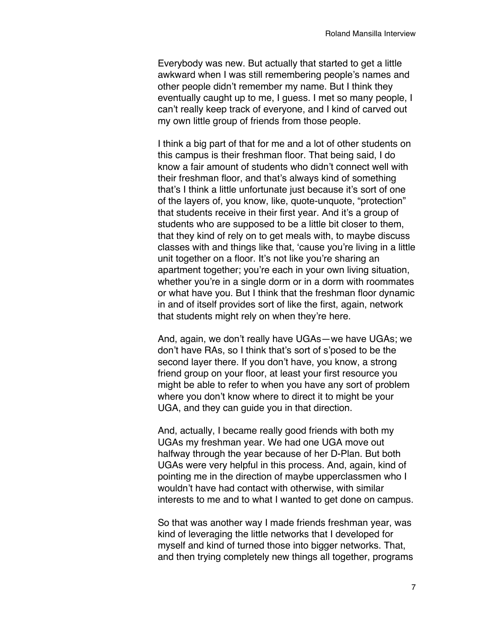Everybody was new. But actually that started to get a little awkward when I was still remembering people's names and other people didn't remember my name. But I think they eventually caught up to me, I guess. I met so many people, I can't really keep track of everyone, and I kind of carved out my own little group of friends from those people.

I think a big part of that for me and a lot of other students on this campus is their freshman floor. That being said, I do know a fair amount of students who didn't connect well with their freshman floor, and that's always kind of something that's I think a little unfortunate just because it's sort of one of the layers of, you know, like, quote-unquote, "protection" that students receive in their first year. And it's a group of students who are supposed to be a little bit closer to them, that they kind of rely on to get meals with, to maybe discuss classes with and things like that, 'cause you're living in a little unit together on a floor. It's not like you're sharing an apartment together; you're each in your own living situation, whether you're in a single dorm or in a dorm with roommates or what have you. But I think that the freshman floor dynamic in and of itself provides sort of like the first, again, network that students might rely on when they're here.

And, again, we don't really have UGAs—we have UGAs; we don't have RAs, so I think that's sort of s'posed to be the second layer there. If you don't have, you know, a strong friend group on your floor, at least your first resource you might be able to refer to when you have any sort of problem where you don't know where to direct it to might be your UGA, and they can guide you in that direction.

And, actually, I became really good friends with both my UGAs my freshman year. We had one UGA move out halfway through the year because of her D-Plan. But both UGAs were very helpful in this process. And, again, kind of pointing me in the direction of maybe upperclassmen who I wouldn't have had contact with otherwise, with similar interests to me and to what I wanted to get done on campus.

So that was another way I made friends freshman year, was kind of leveraging the little networks that I developed for myself and kind of turned those into bigger networks. That, and then trying completely new things all together, programs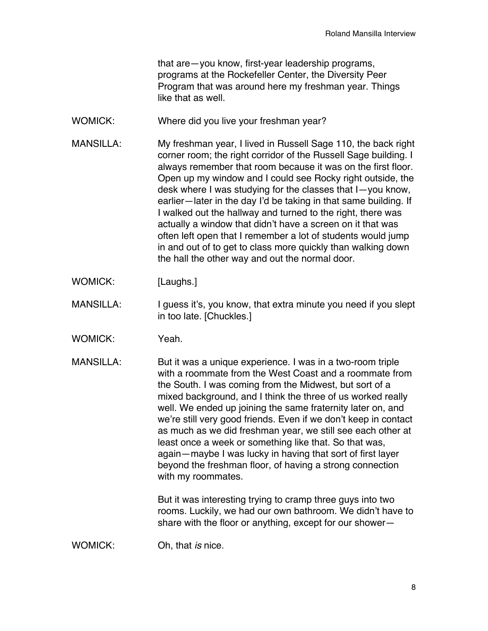that are—you know, first-year leadership programs, programs at the Rockefeller Center, the Diversity Peer Program that was around here my freshman year. Things like that as well

- WOMICK: Where did you live your freshman year?
- MANSILLA: My freshman year, I lived in Russell Sage 110, the back right corner room; the right corridor of the Russell Sage building. I always remember that room because it was on the first floor. Open up my window and I could see Rocky right outside, the desk where I was studying for the classes that I—you know, earlier—later in the day I'd be taking in that same building. If I walked out the hallway and turned to the right, there was actually a window that didn't have a screen on it that was often left open that I remember a lot of students would jump in and out of to get to class more quickly than walking down the hall the other way and out the normal door.
- WOMICK: [Laughs.]
- MANSILLA: I guess it's, you know, that extra minute you need if you slept in too late. [Chuckles.]
- WOMICK: Yeah.
- MANSILLA: But it was a unique experience. I was in a two-room triple with a roommate from the West Coast and a roommate from the South. I was coming from the Midwest, but sort of a mixed background, and I think the three of us worked really well. We ended up joining the same fraternity later on, and we're still very good friends. Even if we don't keep in contact as much as we did freshman year, we still see each other at least once a week or something like that. So that was, again—maybe I was lucky in having that sort of first layer beyond the freshman floor, of having a strong connection with my roommates.

But it was interesting trying to cramp three guys into two rooms. Luckily, we had our own bathroom. We didn't have to share with the floor or anything, except for our shower—

WOMICK: Oh, that *is* nice.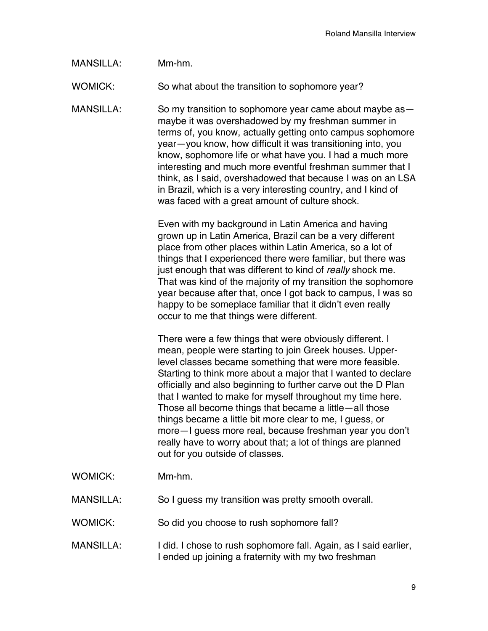## MANSILLA: Mm-hm.

WOMICK: So what about the transition to sophomore year?

MANSILLA: So my transition to sophomore year came about maybe as maybe it was overshadowed by my freshman summer in terms of, you know, actually getting onto campus sophomore year—you know, how difficult it was transitioning into, you know, sophomore life or what have you. I had a much more interesting and much more eventful freshman summer that I think, as I said, overshadowed that because I was on an LSA in Brazil, which is a very interesting country, and I kind of was faced with a great amount of culture shock.

> Even with my background in Latin America and having grown up in Latin America, Brazil can be a very different place from other places within Latin America, so a lot of things that I experienced there were familiar, but there was just enough that was different to kind of *really* shock me. That was kind of the majority of my transition the sophomore year because after that, once I got back to campus, I was so happy to be someplace familiar that it didn't even really occur to me that things were different.

> There were a few things that were obviously different. I mean, people were starting to join Greek houses. Upperlevel classes became something that were more feasible. Starting to think more about a major that I wanted to declare officially and also beginning to further carve out the D Plan that I wanted to make for myself throughout my time here. Those all become things that became a little—all those things became a little bit more clear to me, I guess, or more—I guess more real, because freshman year you don't really have to worry about that; a lot of things are planned out for you outside of classes.

- WOMICK: Mm-hm.
- MANSILLA: So I guess my transition was pretty smooth overall.
- WOMICK: So did you choose to rush sophomore fall?
- MANSILLA: I did. I chose to rush sophomore fall. Again, as I said earlier, I ended up joining a fraternity with my two freshman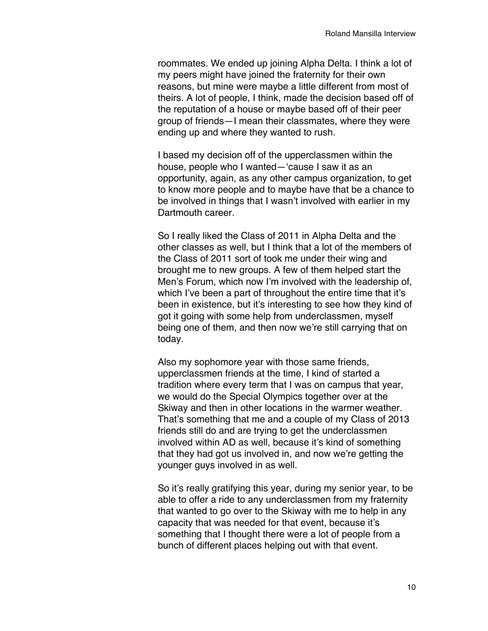roommates. We ended up joining Alpha Delta. I think a lot of my peers might have joined the fraternity for their own reasons, but mine were maybe a little different from most of theirs. A lot of people, I think, made the decision based off of the reputation of a house or maybe based off of their peer group of friends—I mean their classmates, where they were ending up and where they wanted to rush.

I based my decision off of the upperclassmen within the house, people who I wanted—'cause I saw it as an opportunity, again, as any other campus organization, to get to know more people and to maybe have that be a chance to be involved in things that I wasn't involved with earlier in my Dartmouth career

So I really liked the Class of 2011 in Alpha Delta and the other classes as well, but I think that a lot of the members of the Class of 2011 sort of took me under their wing and brought me to new groups. A few of them helped start the Men's Forum, which now I'm involved with the leadership of, which I've been a part of throughout the entire time that it's been in existence, but it's interesting to see how they kind of got it going with some help from underclassmen, myself being one of them, and then now we're still carrying that on today.

Also my sophomore year with those same friends, upperclassmen friends at the time, I kind of started a tradition where every term that I was on campus that year, we would do the Special Olympics together over at the Skiway and then in other locations in the warmer weather. That's something that me and a couple of my Class of 2013 friends still do and are trying to get the underclassmen involved within AD as well, because it's kind of something that they had got us involved in, and now we're getting the younger guys involved in as well.

So it's really gratifying this year, during my senior year, to be able to offer a ride to any underclassmen from my fraternity that wanted to go over to the Skiway with me to help in any capacity that was needed for that event, because it's something that I thought there were a lot of people from a bunch of different places helping out with that event.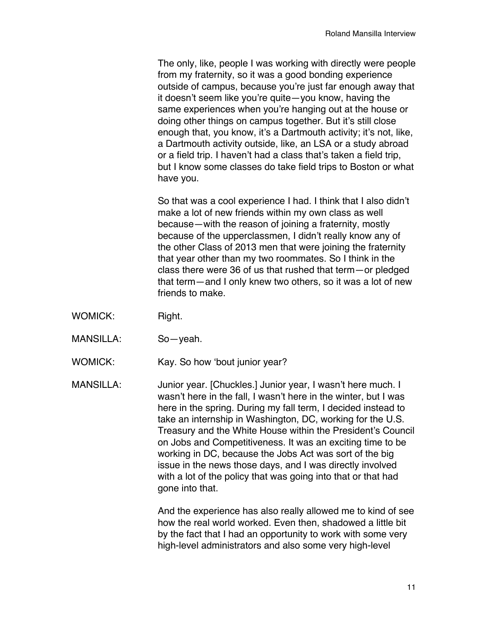The only, like, people I was working with directly were people from my fraternity, so it was a good bonding experience outside of campus, because you're just far enough away that it doesn't seem like you're quite—you know, having the same experiences when you're hanging out at the house or doing other things on campus together. But it's still close enough that, you know, it's a Dartmouth activity; it's not, like, a Dartmouth activity outside, like, an LSA or a study abroad or a field trip. I haven't had a class that's taken a field trip, but I know some classes do take field trips to Boston or what have you.

So that was a cool experience I had. I think that I also didn't make a lot of new friends within my own class as well because—with the reason of joining a fraternity, mostly because of the upperclassmen, I didn't really know any of the other Class of 2013 men that were joining the fraternity that year other than my two roommates. So I think in the class there were 36 of us that rushed that term—or pledged that term—and I only knew two others, so it was a lot of new friends to make.

- WOMICK: Right.
- MANSILLA: So—yeah.
- WOMICK: Kay. So how 'bout junior year?

MANSILLA: Junior year. [Chuckles.] Junior year, I wasn't here much. I wasn't here in the fall, I wasn't here in the winter, but I was here in the spring. During my fall term, I decided instead to take an internship in Washington, DC, working for the U.S. Treasury and the White House within the President's Council on Jobs and Competitiveness. It was an exciting time to be working in DC, because the Jobs Act was sort of the big issue in the news those days, and I was directly involved with a lot of the policy that was going into that or that had gone into that.

> And the experience has also really allowed me to kind of see how the real world worked. Even then, shadowed a little bit by the fact that I had an opportunity to work with some very high-level administrators and also some very high-level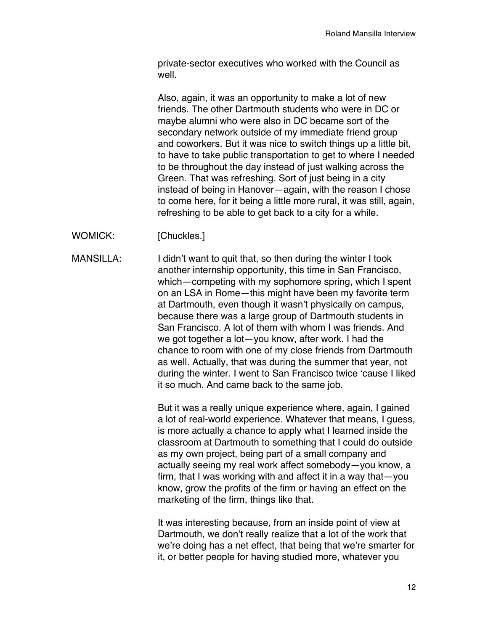private-sector executives who worked with the Council as well.

Also, again, it was an opportunity to make a lot of new friends. The other Dartmouth students who were in DC or maybe alumni who were also in DC became sort of the secondary network outside of my immediate friend group and coworkers. But it was nice to switch things up a little bit, to have to take public transportation to get to where I needed to be throughout the day instead of just walking across the Green. That was refreshing. Sort of just being in a city instead of being in Hanover—again, with the reason I chose to come here, for it being a little more rural, it was still, again, refreshing to be able to get back to a city for a while.

WOMICK: [Chuckles.]

MANSILLA: I didn't want to quit that, so then during the winter I took another internship opportunity, this time in San Francisco, which—competing with my sophomore spring, which I spent on an LSA in Rome—this might have been my favorite term at Dartmouth, even though it wasn't physically on campus, because there was a large group of Dartmouth students in San Francisco. A lot of them with whom I was friends. And we got together a lot—you know, after work. I had the chance to room with one of my close friends from Dartmouth as well. Actually, that was during the summer that year, not during the winter. I went to San Francisco twice 'cause I liked it so much. And came back to the same job.

> But it was a really unique experience where, again, I gained a lot of real-world experience. Whatever that means, I guess, is more actually a chance to apply what I learned inside the classroom at Dartmouth to something that I could do outside as my own project, being part of a small company and actually seeing my real work affect somebody—you know, a firm, that I was working with and affect it in a way that—you know, grow the profits of the firm or having an effect on the marketing of the firm, things like that.

> It was interesting because, from an inside point of view at Dartmouth, we don't really realize that a lot of the work that we're doing has a net effect, that being that we're smarter for it, or better people for having studied more, whatever you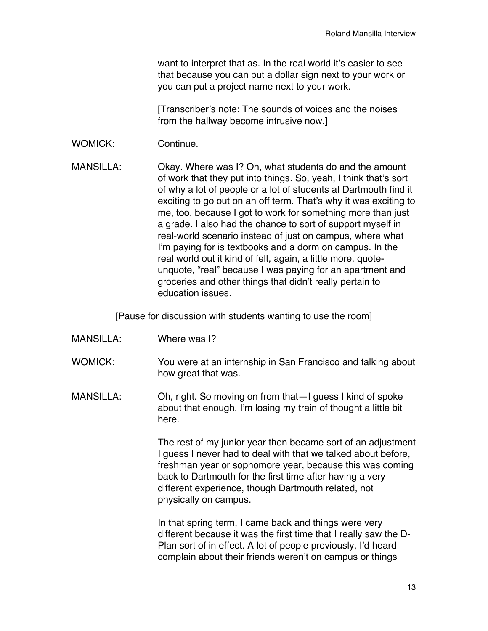want to interpret that as. In the real world it's easier to see that because you can put a dollar sign next to your work or you can put a project name next to your work.

[Transcriber's note: The sounds of voices and the noises from the hallway become intrusive now.]

WOMICK: Continue.

MANSILLA: Okay. Where was I? Oh, what students do and the amount of work that they put into things. So, yeah, I think that's sort of why a lot of people or a lot of students at Dartmouth find it exciting to go out on an off term. That's why it was exciting to me, too, because I got to work for something more than just a grade. I also had the chance to sort of support myself in real-world scenario instead of just on campus, where what I'm paying for is textbooks and a dorm on campus. In the real world out it kind of felt, again, a little more, quoteunquote, "real" because I was paying for an apartment and groceries and other things that didn't really pertain to education issues.

[Pause for discussion with students wanting to use the room]

- MANSILLA: Where was I?
- WOMICK: You were at an internship in San Francisco and talking about how great that was.
- MANSILLA: Oh, right. So moving on from that—I guess I kind of spoke about that enough. I'm losing my train of thought a little bit here.

The rest of my junior year then became sort of an adjustment I guess I never had to deal with that we talked about before, freshman year or sophomore year, because this was coming back to Dartmouth for the first time after having a very different experience, though Dartmouth related, not physically on campus.

In that spring term, I came back and things were very different because it was the first time that I really saw the D-Plan sort of in effect. A lot of people previously, I'd heard complain about their friends weren't on campus or things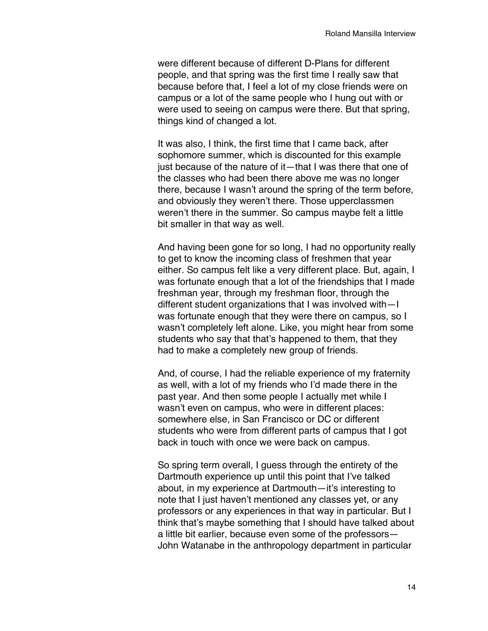were different because of different D-Plans for different people, and that spring was the first time I really saw that because before that, I feel a lot of my close friends were on campus or a lot of the same people who I hung out with or were used to seeing on campus were there. But that spring, things kind of changed a lot.

It was also, I think, the first time that I came back, after sophomore summer, which is discounted for this example just because of the nature of it—that I was there that one of the classes who had been there above me was no longer there, because I wasn't around the spring of the term before, and obviously they weren't there. Those upperclassmen weren't there in the summer. So campus maybe felt a little bit smaller in that way as well.

And having been gone for so long, I had no opportunity really to get to know the incoming class of freshmen that year either. So campus felt like a very different place. But, again, I was fortunate enough that a lot of the friendships that I made freshman year, through my freshman floor, through the different student organizations that I was involved with—I was fortunate enough that they were there on campus, so I wasn't completely left alone. Like, you might hear from some students who say that that's happened to them, that they had to make a completely new group of friends.

And, of course, I had the reliable experience of my fraternity as well, with a lot of my friends who I'd made there in the past year. And then some people I actually met while I wasn't even on campus, who were in different places: somewhere else, in San Francisco or DC or different students who were from different parts of campus that I got back in touch with once we were back on campus.

So spring term overall, I guess through the entirety of the Dartmouth experience up until this point that I've talked about, in my experience at Dartmouth—it's interesting to note that I just haven't mentioned any classes yet, or any professors or any experiences in that way in particular. But I think that's maybe something that I should have talked about a little bit earlier, because even some of the professors— John Watanabe in the anthropology department in particular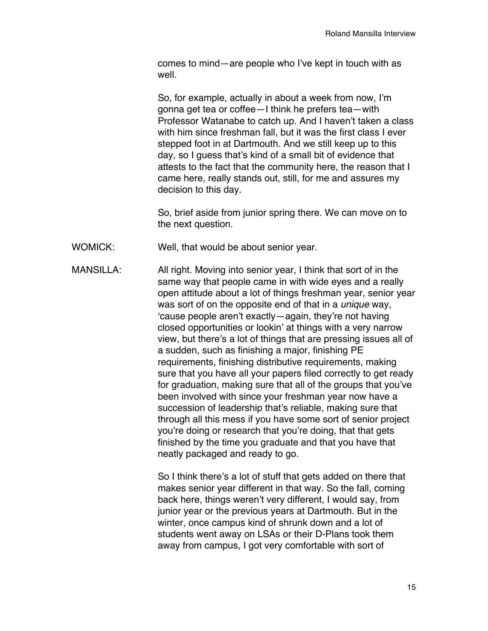comes to mind—are people who I've kept in touch with as well.

So, for example, actually in about a week from now, I'm gonna get tea or coffee—I think he prefers tea—with Professor Watanabe to catch up. And I haven't taken a class with him since freshman fall, but it was the first class I ever stepped foot in at Dartmouth. And we still keep up to this day, so I guess that's kind of a small bit of evidence that attests to the fact that the community here, the reason that I came here, really stands out, still, for me and assures my decision to this day.

So, brief aside from junior spring there. We can move on to the next question.

WOMICK: Well, that would be about senior year.

MANSILLA: All right. Moving into senior year, I think that sort of in the same way that people came in with wide eyes and a really open attitude about a lot of things freshman year, senior year was sort of on the opposite end of that in a *unique* way, 'cause people aren't exactly—again, they're not having closed opportunities or lookin' at things with a very narrow view, but there's a lot of things that are pressing issues all of a sudden, such as finishing a major, finishing PE requirements, finishing distributive requirements, making sure that you have all your papers filed correctly to get ready for graduation, making sure that all of the groups that you've been involved with since your freshman year now have a succession of leadership that's reliable, making sure that through all this mess if you have some sort of senior project you're doing or research that you're doing, that that gets finished by the time you graduate and that you have that neatly packaged and ready to go.

> So I think there's a lot of stuff that gets added on there that makes senior year different in that way. So the fall, coming back here, things weren't very different, I would say, from junior year or the previous years at Dartmouth. But in the winter, once campus kind of shrunk down and a lot of students went away on LSAs or their D-Plans took them away from campus, I got very comfortable with sort of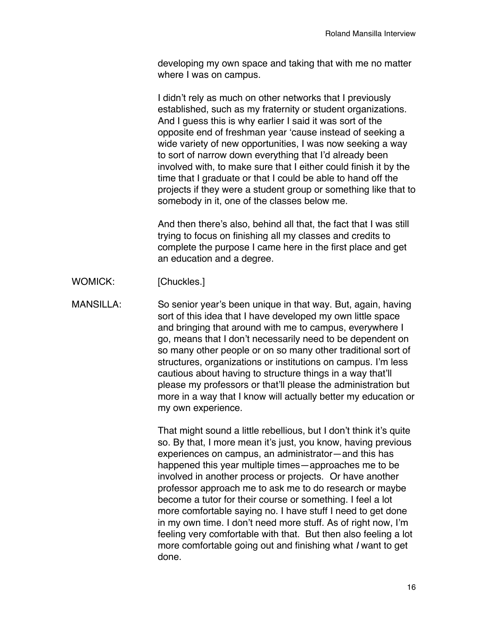developing my own space and taking that with me no matter where I was on campus.

I didn't rely as much on other networks that I previously established, such as my fraternity or student organizations. And I guess this is why earlier I said it was sort of the opposite end of freshman year 'cause instead of seeking a wide variety of new opportunities, I was now seeking a way to sort of narrow down everything that I'd already been involved with, to make sure that I either could finish it by the time that I graduate or that I could be able to hand off the projects if they were a student group or something like that to somebody in it, one of the classes below me.

And then there's also, behind all that, the fact that I was still trying to focus on finishing all my classes and credits to complete the purpose I came here in the first place and get an education and a degree.

WOMICK: [Chuckles.]

MANSILLA: So senior year's been unique in that way. But, again, having sort of this idea that I have developed my own little space and bringing that around with me to campus, everywhere I go, means that I don't necessarily need to be dependent on so many other people or on so many other traditional sort of structures, organizations or institutions on campus. I'm less cautious about having to structure things in a way that'll please my professors or that'll please the administration but more in a way that I know will actually better my education or my own experience.

> That might sound a little rebellious, but I don't think it's quite so. By that, I more mean it's just, you know, having previous experiences on campus, an administrator—and this has happened this year multiple times—approaches me to be involved in another process or projects. Or have another professor approach me to ask me to do research or maybe become a tutor for their course or something. I feel a lot more comfortable saying no. I have stuff I need to get done in my own time. I don't need more stuff. As of right now, I'm feeling very comfortable with that. But then also feeling a lot more comfortable going out and finishing what *I* want to get done.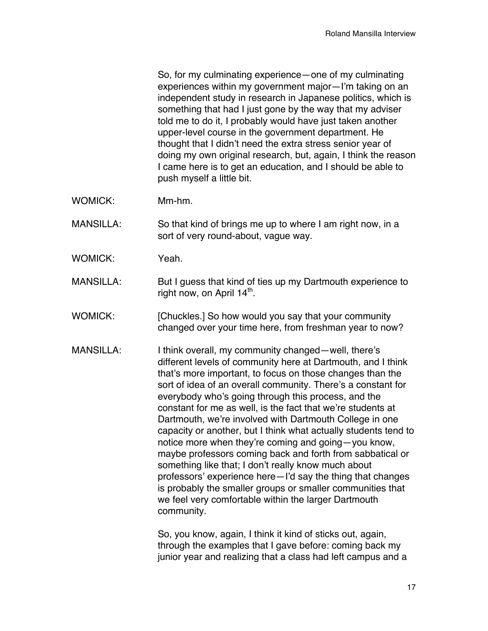So, for my culminating experience—one of my culminating experiences within my government major—I'm taking on an independent study in research in Japanese politics, which is something that had I just gone by the way that my adviser told me to do it, I probably would have just taken another upper-level course in the government department. He thought that I didn't need the extra stress senior year of doing my own original research, but, again, I think the reason I came here is to get an education, and I should be able to push myself a little bit.

- WOMICK: Mm-hm.
- MANSILLA: So that kind of brings me up to where I am right now, in a sort of very round-about, vague way.
- WOMICK: Yeah.
- MANSILLA: But I guess that kind of ties up my Dartmouth experience to right now, on April  $14^{\text{th}}$ .
- WOMICK: [Chuckles.] So how would you say that your community changed over your time here, from freshman year to now?
- MANSILLA: I think overall, my community changed—well, there's different levels of community here at Dartmouth, and I think that's more important, to focus on those changes than the sort of idea of an overall community. There's a constant for everybody who's going through this process, and the constant for me as well, is the fact that we're students at Dartmouth, we're involved with Dartmouth College in one capacity or another, but I think what actually students tend to notice more when they're coming and going—you know, maybe professors coming back and forth from sabbatical or something like that; I don't really know much about professors' experience here—I'd say the thing that changes is probably the smaller groups or smaller communities that we feel very comfortable within the larger Dartmouth community.

So, you know, again, I think it kind of sticks out, again, through the examples that I gave before: coming back my junior year and realizing that a class had left campus and a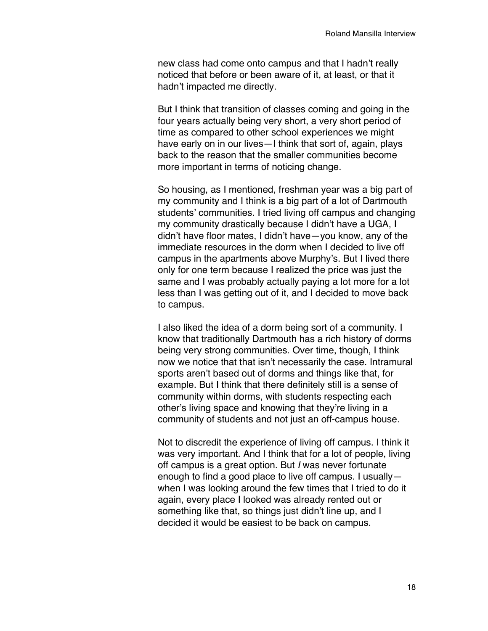new class had come onto campus and that I hadn't really noticed that before or been aware of it, at least, or that it hadn't impacted me directly.

But I think that transition of classes coming and going in the four years actually being very short, a very short period of time as compared to other school experiences we might have early on in our lives—I think that sort of, again, plays back to the reason that the smaller communities become more important in terms of noticing change.

So housing, as I mentioned, freshman year was a big part of my community and I think is a big part of a lot of Dartmouth students' communities. I tried living off campus and changing my community drastically because I didn't have a UGA, I didn't have floor mates, I didn't have—you know, any of the immediate resources in the dorm when I decided to live off campus in the apartments above Murphy's. But I lived there only for one term because I realized the price was just the same and I was probably actually paying a lot more for a lot less than I was getting out of it, and I decided to move back to campus.

I also liked the idea of a dorm being sort of a community. I know that traditionally Dartmouth has a rich history of dorms being very strong communities. Over time, though, I think now we notice that that isn't necessarily the case. Intramural sports aren't based out of dorms and things like that, for example. But I think that there definitely still is a sense of community within dorms, with students respecting each other's living space and knowing that they're living in a community of students and not just an off-campus house.

Not to discredit the experience of living off campus. I think it was very important. And I think that for a lot of people, living off campus is a great option. But *I* was never fortunate enough to find a good place to live off campus. I usually when I was looking around the few times that I tried to do it again, every place I looked was already rented out or something like that, so things just didn't line up, and I decided it would be easiest to be back on campus.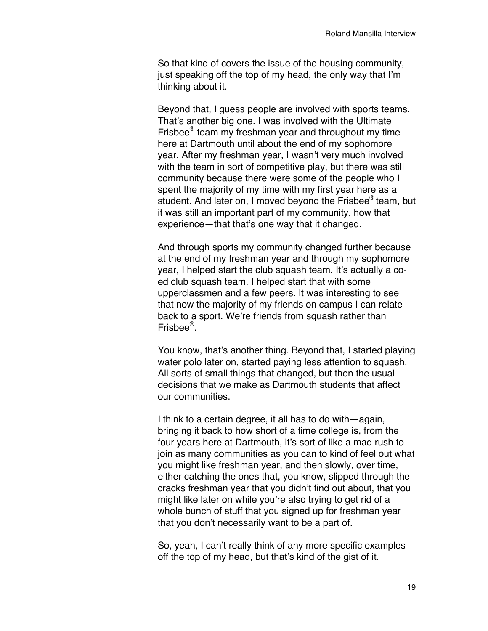So that kind of covers the issue of the housing community, just speaking off the top of my head, the only way that I'm thinking about it.

Beyond that, I guess people are involved with sports teams. That's another big one. I was involved with the Ultimate Frisbee® team my freshman year and throughout my time here at Dartmouth until about the end of my sophomore year. After my freshman year, I wasn't very much involved with the team in sort of competitive play, but there was still community because there were some of the people who I spent the majority of my time with my first year here as a student. And later on, I moved beyond the Frisbee<sup>®</sup> team, but it was still an important part of my community, how that experience—that that's one way that it changed.

And through sports my community changed further because at the end of my freshman year and through my sophomore year, I helped start the club squash team. It's actually a coed club squash team. I helped start that with some upperclassmen and a few peers. It was interesting to see that now the majority of my friends on campus I can relate back to a sport. We're friends from squash rather than Frisbee®.

You know, that's another thing. Beyond that, I started playing water polo later on, started paying less attention to squash. All sorts of small things that changed, but then the usual decisions that we make as Dartmouth students that affect our communities.

I think to a certain degree, it all has to do with—again, bringing it back to how short of a time college is, from the four years here at Dartmouth, it's sort of like a mad rush to join as many communities as you can to kind of feel out what you might like freshman year, and then slowly, over time, either catching the ones that, you know, slipped through the cracks freshman year that you didn't find out about, that you might like later on while you're also trying to get rid of a whole bunch of stuff that you signed up for freshman year that you don't necessarily want to be a part of.

So, yeah, I can't really think of any more specific examples off the top of my head, but that's kind of the gist of it.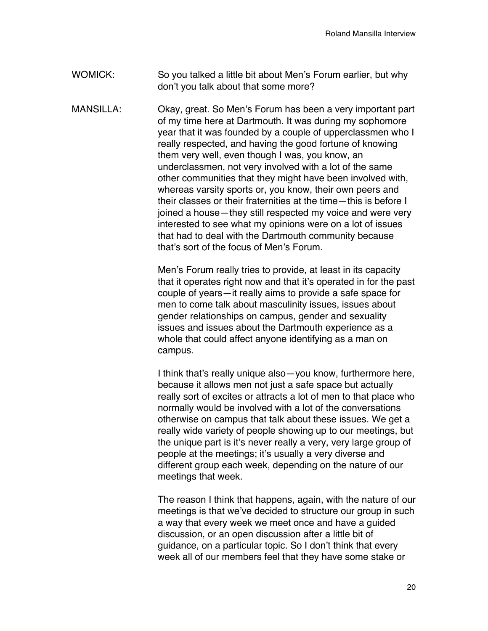## WOMICK: So you talked a little bit about Men's Forum earlier, but why don't you talk about that some more?

MANSILLA: Okay, great. So Men's Forum has been a very important part of my time here at Dartmouth. It was during my sophomore year that it was founded by a couple of upperclassmen who I really respected, and having the good fortune of knowing them very well, even though I was, you know, an underclassmen, not very involved with a lot of the same other communities that they might have been involved with, whereas varsity sports or, you know, their own peers and their classes or their fraternities at the time—this is before I joined a house—they still respected my voice and were very interested to see what my opinions were on a lot of issues that had to deal with the Dartmouth community because that's sort of the focus of Men's Forum.

> Men's Forum really tries to provide, at least in its capacity that it operates right now and that it's operated in for the past couple of years—it really aims to provide a safe space for men to come talk about masculinity issues, issues about gender relationships on campus, gender and sexuality issues and issues about the Dartmouth experience as a whole that could affect anyone identifying as a man on campus.

> I think that's really unique also—you know, furthermore here, because it allows men not just a safe space but actually really sort of excites or attracts a lot of men to that place who normally would be involved with a lot of the conversations otherwise on campus that talk about these issues. We get a really wide variety of people showing up to our meetings, but the unique part is it's never really a very, very large group of people at the meetings; it's usually a very diverse and different group each week, depending on the nature of our meetings that week.

> The reason I think that happens, again, with the nature of our meetings is that we've decided to structure our group in such a way that every week we meet once and have a guided discussion, or an open discussion after a little bit of guidance, on a particular topic. So I don't think that every week all of our members feel that they have some stake or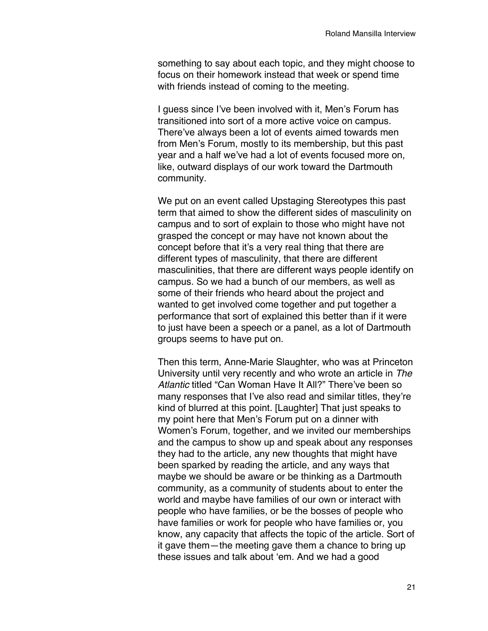something to say about each topic, and they might choose to focus on their homework instead that week or spend time with friends instead of coming to the meeting.

I guess since I've been involved with it, Men's Forum has transitioned into sort of a more active voice on campus. There've always been a lot of events aimed towards men from Men's Forum, mostly to its membership, but this past year and a half we've had a lot of events focused more on, like, outward displays of our work toward the Dartmouth community.

We put on an event called Upstaging Stereotypes this past term that aimed to show the different sides of masculinity on campus and to sort of explain to those who might have not grasped the concept or may have not known about the concept before that it's a very real thing that there are different types of masculinity, that there are different masculinities, that there are different ways people identify on campus. So we had a bunch of our members, as well as some of their friends who heard about the project and wanted to get involved come together and put together a performance that sort of explained this better than if it were to just have been a speech or a panel, as a lot of Dartmouth groups seems to have put on.

Then this term, Anne-Marie Slaughter, who was at Princeton University until very recently and who wrote an article in *The Atlantic* titled "Can Woman Have It All?" There've been so many responses that I've also read and similar titles, they're kind of blurred at this point. [Laughter] That just speaks to my point here that Men's Forum put on a dinner with Women's Forum, together, and we invited our memberships and the campus to show up and speak about any responses they had to the article, any new thoughts that might have been sparked by reading the article, and any ways that maybe we should be aware or be thinking as a Dartmouth community, as a community of students about to enter the world and maybe have families of our own or interact with people who have families, or be the bosses of people who have families or work for people who have families or, you know, any capacity that affects the topic of the article. Sort of it gave them—the meeting gave them a chance to bring up these issues and talk about 'em. And we had a good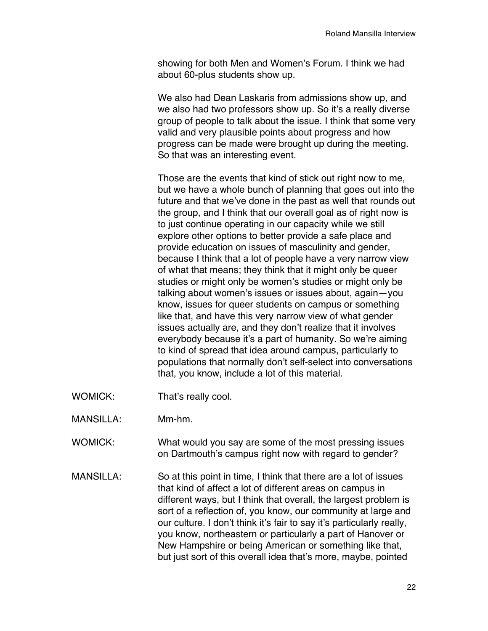showing for both Men and Women's Forum. I think we had about 60-plus students show up.

We also had Dean Laskaris from admissions show up, and we also had two professors show up. So it's a really diverse group of people to talk about the issue. I think that some very valid and very plausible points about progress and how progress can be made were brought up during the meeting. So that was an interesting event.

Those are the events that kind of stick out right now to me, but we have a whole bunch of planning that goes out into the future and that we've done in the past as well that rounds out the group, and I think that our overall goal as of right now is to just continue operating in our capacity while we still explore other options to better provide a safe place and provide education on issues of masculinity and gender, because I think that a lot of people have a very narrow view of what that means; they think that it might only be queer studies or might only be women's studies or might only be talking about women's issues or issues about, again—you know, issues for queer students on campus or something like that, and have this very narrow view of what gender issues actually are, and they don't realize that it involves everybody because it's a part of humanity. So we're aiming to kind of spread that idea around campus, particularly to populations that normally don't self-select into conversations that, you know, include a lot of this material.

- WOMICK: That's really cool.
- MANSILLA: Mm-hm.
- WOMICK: What would you say are some of the most pressing issues on Dartmouth's campus right now with regard to gender?
- MANSILLA: So at this point in time, I think that there are a lot of issues that kind of affect a lot of different areas on campus in different ways, but I think that overall, the largest problem is sort of a reflection of, you know, our community at large and our culture. I don't think it's fair to say it's particularly really, you know, northeastern or particularly a part of Hanover or New Hampshire or being American or something like that, but just sort of this overall idea that's more, maybe, pointed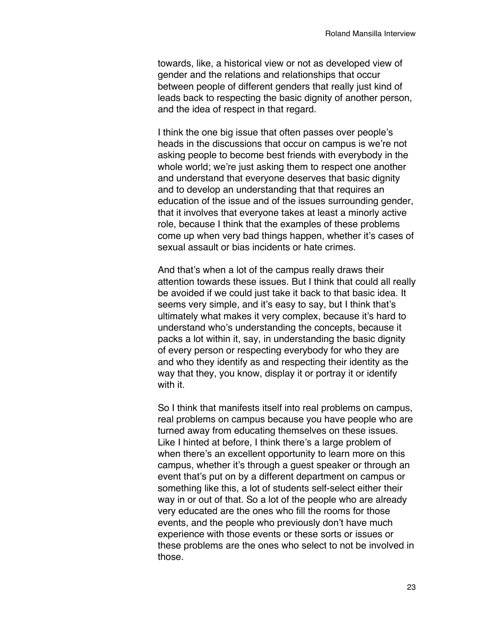towards, like, a historical view or not as developed view of gender and the relations and relationships that occur between people of different genders that really just kind of leads back to respecting the basic dignity of another person, and the idea of respect in that regard.

I think the one big issue that often passes over people's heads in the discussions that occur on campus is we're not asking people to become best friends with everybody in the whole world; we're just asking them to respect one another and understand that everyone deserves that basic dignity and to develop an understanding that that requires an education of the issue and of the issues surrounding gender, that it involves that everyone takes at least a minorly active role, because I think that the examples of these problems come up when very bad things happen, whether it's cases of sexual assault or bias incidents or hate crimes.

And that's when a lot of the campus really draws their attention towards these issues. But I think that could all really be avoided if we could just take it back to that basic idea. It seems very simple, and it's easy to say, but I think that's ultimately what makes it very complex, because it's hard to understand who's understanding the concepts, because it packs a lot within it, say, in understanding the basic dignity of every person or respecting everybody for who they are and who they identify as and respecting their identity as the way that they, you know, display it or portray it or identify with it.

So I think that manifests itself into real problems on campus, real problems on campus because you have people who are turned away from educating themselves on these issues. Like I hinted at before, I think there's a large problem of when there's an excellent opportunity to learn more on this campus, whether it's through a guest speaker or through an event that's put on by a different department on campus or something like this, a lot of students self-select either their way in or out of that. So a lot of the people who are already very educated are the ones who fill the rooms for those events, and the people who previously don't have much experience with those events or these sorts or issues or these problems are the ones who select to not be involved in those.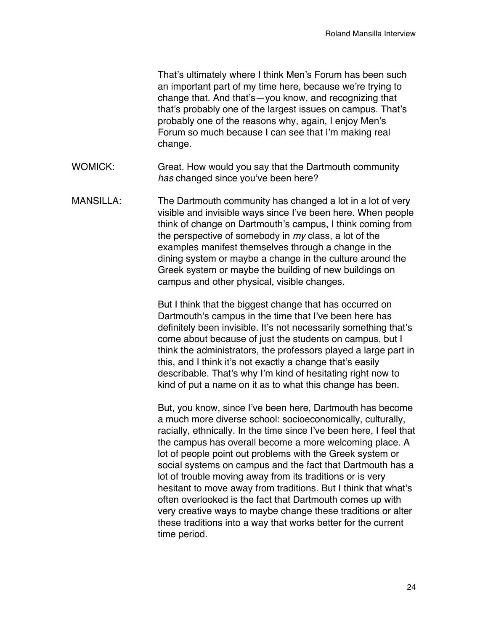That's ultimately where I think Men's Forum has been such an important part of my time here, because we're trying to change that. And that's—you know, and recognizing that that's probably one of the largest issues on campus. That's probably one of the reasons why, again, I enjoy Men's Forum so much because I can see that I'm making real change.

- WOMICK: Great. How would you say that the Dartmouth community *has* changed since you've been here?
- MANSILLA: The Dartmouth community has changed a lot in a lot of very visible and invisible ways since I've been here. When people think of change on Dartmouth's campus, I think coming from the perspective of somebody in *my* class, a lot of the examples manifest themselves through a change in the dining system or maybe a change in the culture around the Greek system or maybe the building of new buildings on campus and other physical, visible changes.

But I think that the biggest change that has occurred on Dartmouth's campus in the time that I've been here has definitely been invisible. It's not necessarily something that's come about because of just the students on campus, but I think the administrators, the professors played a large part in this, and I think it's not exactly a change that's easily describable. That's why I'm kind of hesitating right now to kind of put a name on it as to what this change has been.

But, you know, since I've been here, Dartmouth has become a much more diverse school: socioeconomically, culturally, racially, ethnically. In the time since I've been here, I feel that the campus has overall become a more welcoming place. A lot of people point out problems with the Greek system or social systems on campus and the fact that Dartmouth has a lot of trouble moving away from its traditions or is very hesitant to move away from traditions. But I think that what's often overlooked is the fact that Dartmouth comes up with very creative ways to maybe change these traditions or alter these traditions into a way that works better for the current time period.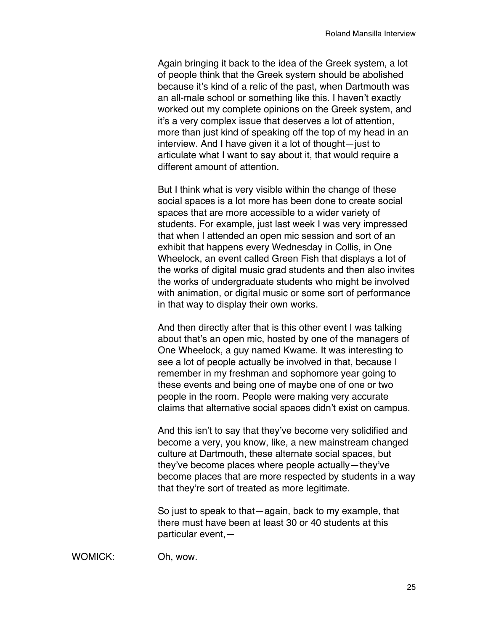Again bringing it back to the idea of the Greek system, a lot of people think that the Greek system should be abolished because it's kind of a relic of the past, when Dartmouth was an all-male school or something like this. I haven't exactly worked out my complete opinions on the Greek system, and it's a very complex issue that deserves a lot of attention, more than just kind of speaking off the top of my head in an interview. And I have given it a lot of thought—just to articulate what I want to say about it, that would require a different amount of attention.

But I think what is very visible within the change of these social spaces is a lot more has been done to create social spaces that are more accessible to a wider variety of students. For example, just last week I was very impressed that when I attended an open mic session and sort of an exhibit that happens every Wednesday in Collis, in One Wheelock, an event called Green Fish that displays a lot of the works of digital music grad students and then also invites the works of undergraduate students who might be involved with animation, or digital music or some sort of performance in that way to display their own works.

And then directly after that is this other event I was talking about that's an open mic, hosted by one of the managers of One Wheelock, a guy named Kwame. It was interesting to see a lot of people actually be involved in that, because I remember in my freshman and sophomore year going to these events and being one of maybe one of one or two people in the room. People were making very accurate claims that alternative social spaces didn't exist on campus.

And this isn't to say that they've become very solidified and become a very, you know, like, a new mainstream changed culture at Dartmouth, these alternate social spaces, but they've become places where people actually—they've become places that are more respected by students in a way that they're sort of treated as more legitimate.

So just to speak to that—again, back to my example, that there must have been at least 30 or 40 students at this particular event,—

WOMICK: Oh, wow.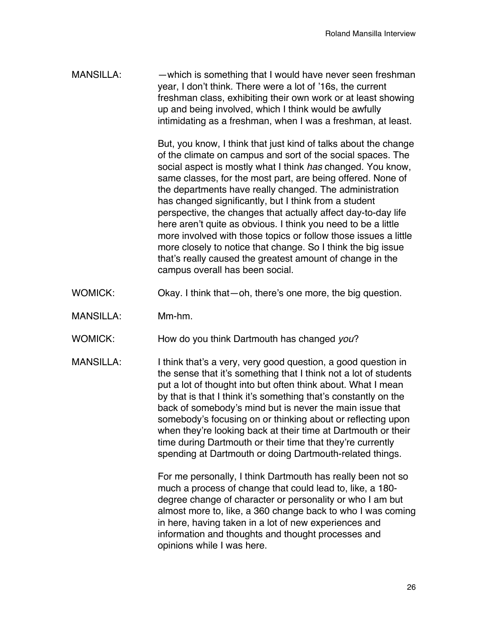MANSILLA: —which is something that I would have never seen freshman year, I don't think. There were a lot of '16s, the current freshman class, exhibiting their own work or at least showing up and being involved, which I think would be awfully intimidating as a freshman, when I was a freshman, at least.

> But, you know, I think that just kind of talks about the change of the climate on campus and sort of the social spaces. The social aspect is mostly what I think *has* changed. You know, same classes, for the most part, are being offered. None of the departments have really changed. The administration has changed significantly, but I think from a student perspective, the changes that actually affect day-to-day life here aren't quite as obvious. I think you need to be a little more involved with those topics or follow those issues a little more closely to notice that change. So I think the big issue that's really caused the greatest amount of change in the campus overall has been social.

- WOMICK: Okay. I think that—oh, there's one more, the big question.
- MANSILLA: Mm-hm.
- WOMICK: How do you think Dartmouth has changed *you*?
- MANSILLA: I think that's a very, very good question, a good question in the sense that it's something that I think not a lot of students put a lot of thought into but often think about. What I mean by that is that I think it's something that's constantly on the back of somebody's mind but is never the main issue that somebody's focusing on or thinking about or reflecting upon when they're looking back at their time at Dartmouth or their time during Dartmouth or their time that they're currently spending at Dartmouth or doing Dartmouth-related things.

For me personally, I think Dartmouth has really been not so much a process of change that could lead to, like, a 180 degree change of character or personality or who I am but almost more to, like, a 360 change back to who I was coming in here, having taken in a lot of new experiences and information and thoughts and thought processes and opinions while I was here.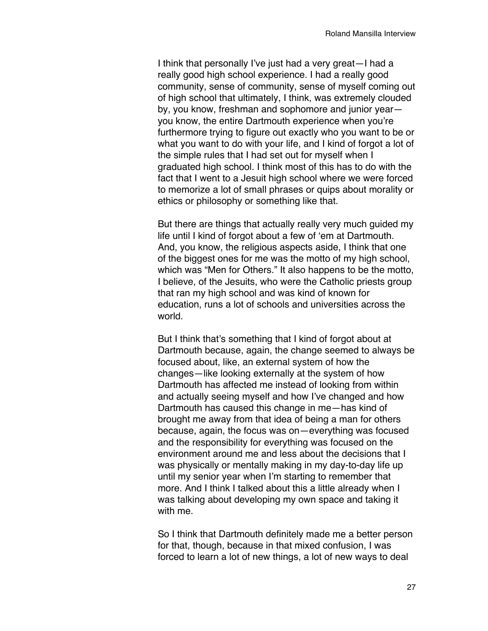I think that personally I've just had a very great—I had a really good high school experience. I had a really good community, sense of community, sense of myself coming out of high school that ultimately, I think, was extremely clouded by, you know, freshman and sophomore and junior year you know, the entire Dartmouth experience when you're furthermore trying to figure out exactly who you want to be or what you want to do with your life, and I kind of forgot a lot of the simple rules that I had set out for myself when I graduated high school. I think most of this has to do with the fact that I went to a Jesuit high school where we were forced to memorize a lot of small phrases or quips about morality or ethics or philosophy or something like that.

But there are things that actually really very much guided my life until I kind of forgot about a few of 'em at Dartmouth. And, you know, the religious aspects aside, I think that one of the biggest ones for me was the motto of my high school, which was "Men for Others." It also happens to be the motto, I believe, of the Jesuits, who were the Catholic priests group that ran my high school and was kind of known for education, runs a lot of schools and universities across the world.

But I think that's something that I kind of forgot about at Dartmouth because, again, the change seemed to always be focused about, like, an external system of how the changes—like looking externally at the system of how Dartmouth has affected me instead of looking from within and actually seeing myself and how I've changed and how Dartmouth has caused this change in me—has kind of brought me away from that idea of being a man for others because, again, the focus was on—everything was focused and the responsibility for everything was focused on the environment around me and less about the decisions that I was physically or mentally making in my day-to-day life up until my senior year when I'm starting to remember that more. And I think I talked about this a little already when I was talking about developing my own space and taking it with me.

So I think that Dartmouth definitely made me a better person for that, though, because in that mixed confusion, I was forced to learn a lot of new things, a lot of new ways to deal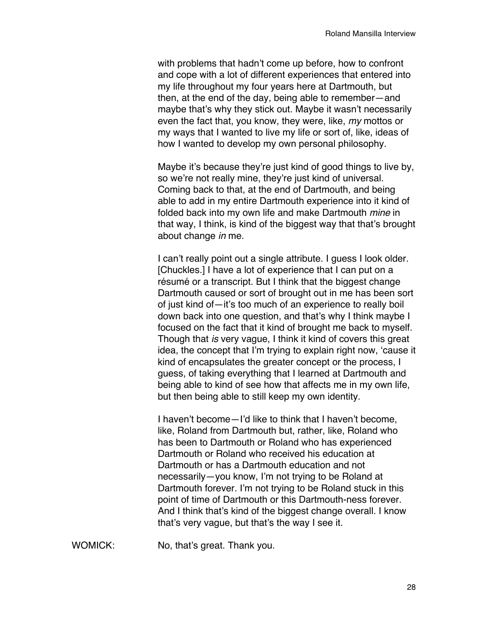with problems that hadn't come up before, how to confront and cope with a lot of different experiences that entered into my life throughout my four years here at Dartmouth, but then, at the end of the day, being able to remember—and maybe that's why they stick out. Maybe it wasn't necessarily even the fact that, you know, they were, like, *my* mottos or my ways that I wanted to live my life or sort of, like, ideas of how I wanted to develop my own personal philosophy.

Maybe it's because they're just kind of good things to live by, so we're not really mine, they're just kind of universal. Coming back to that, at the end of Dartmouth, and being able to add in my entire Dartmouth experience into it kind of folded back into my own life and make Dartmouth *mine* in that way, I think, is kind of the biggest way that that's brought about change *in* me.

I can't really point out a single attribute. I guess I look older. [Chuckles.] I have a lot of experience that I can put on a résumé or a transcript. But I think that the biggest change Dartmouth caused or sort of brought out in me has been sort of just kind of—it's too much of an experience to really boil down back into one question, and that's why I think maybe I focused on the fact that it kind of brought me back to myself. Though that *is* very vague, I think it kind of covers this great idea, the concept that I'm trying to explain right now, 'cause it kind of encapsulates the greater concept or the process, I guess, of taking everything that I learned at Dartmouth and being able to kind of see how that affects me in my own life, but then being able to still keep my own identity.

I haven't become—I'd like to think that I haven't become, like, Roland from Dartmouth but, rather, like, Roland who has been to Dartmouth or Roland who has experienced Dartmouth or Roland who received his education at Dartmouth or has a Dartmouth education and not necessarily—you know, I'm not trying to be Roland at Dartmouth forever. I'm not trying to be Roland stuck in this point of time of Dartmouth or this Dartmouth-ness forever. And I think that's kind of the biggest change overall. I know that's very vague, but that's the way I see it.

WOMICK: No, that's great. Thank you.